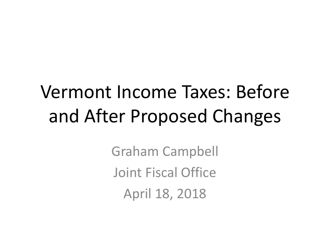## Vermont Income Taxes: Before and After Proposed Changes

Graham Campbell Joint Fiscal Office April 18, 2018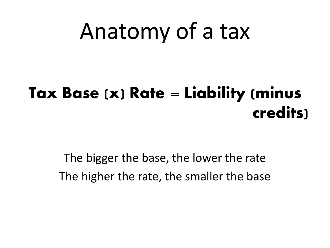# Anatomy of a tax

### **Tax Base (x) Rate = Liability (minus credits)**

The bigger the base, the lower the rate The higher the rate, the smaller the base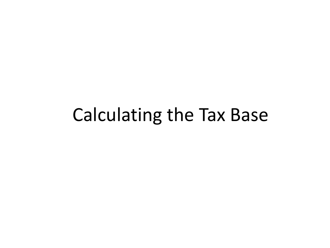## Calculating the Tax Base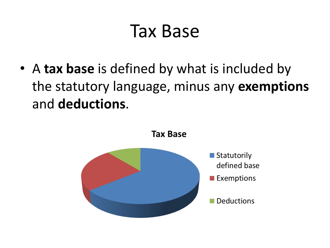## Tax Base

• A **tax base** is defined by what is included by the statutory language, minus any **exemptions** and **deductions**.

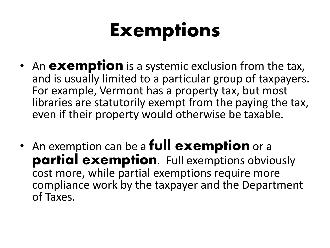# Exemptions

- An **exemption** is a systemic exclusion from the tax, and is usually limited to a particular group of taxpayers. For example, Vermont has a property tax, but most libraries are statutorily exempt from the paying the tax, even if their property would otherwise be taxable.
- An exemption can be a **full exemption** or a **partial exemption**. Full exemptions obviously cost more, while partial exemptions require more compliance work by the taxpayer and the Department of Taxes.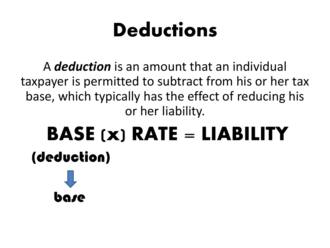# **Deductions**

A *deduction* is an amount that an individual taxpayer is permitted to subtract from his or her tax base, which typically has the effect of reducing his or her liability.

# BASE (x) RATE = LIABILITY (deduction)

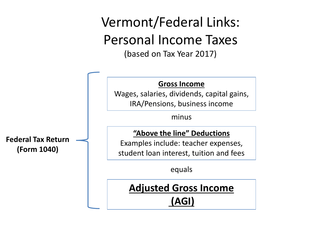### Vermont/Federal Links: Personal Income Taxes (based on Tax Year 2017)

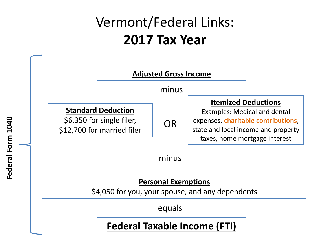### Vermont/Federal Links: **2017 Tax Year**

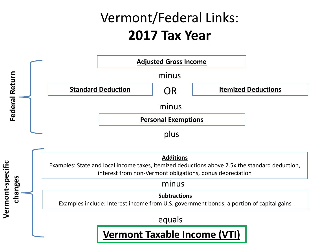### Vermont/Federal Links: **2017 Tax Year**



**Additions**

Examples: State and local income taxes, itemized deductions above 2.5x the standard deduction, interest from non-Vermont obligations, bonus depreciation

#### minus

**Vermont-specific** 

Vermont-specific

**changes**

**Subtractions**

Examples include: Interest income from U.S. government bonds, a portion of capital gains

equals

#### **Vermont Taxable Income (VTI)**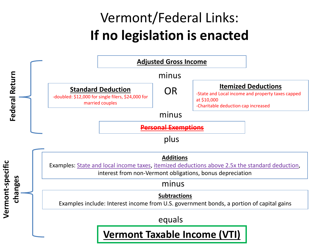### Vermont/Federal Links: **If no legislation is enacted**

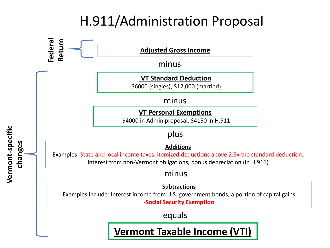### H.911/Administration Proposal

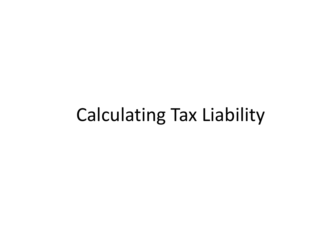## Calculating Tax Liability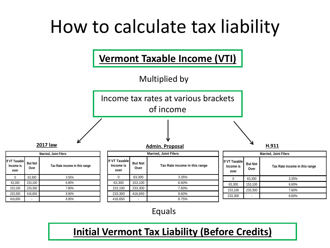## How to calculate tax liability



#### Equals

### **Initial Vermont Tax Liability (Before Credits)**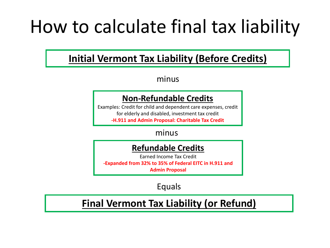## How to calculate final tax liability

### **Initial Vermont Tax Liability (Before Credits)**

minus

#### **Non-Refundable Credits**

Examples: Credit for child and dependent care expenses, credit for elderly and disabled, investment tax credit **-H.911 and Admin Proposal: Charitable Tax Credit**

#### minus

#### **Refundable Credits**

Earned Income Tax Credit **-Expanded from 32% to 35% of Federal EITC in H.911 and Admin Proposal**

Equals

### **Final Vermont Tax Liability (or Refund)**